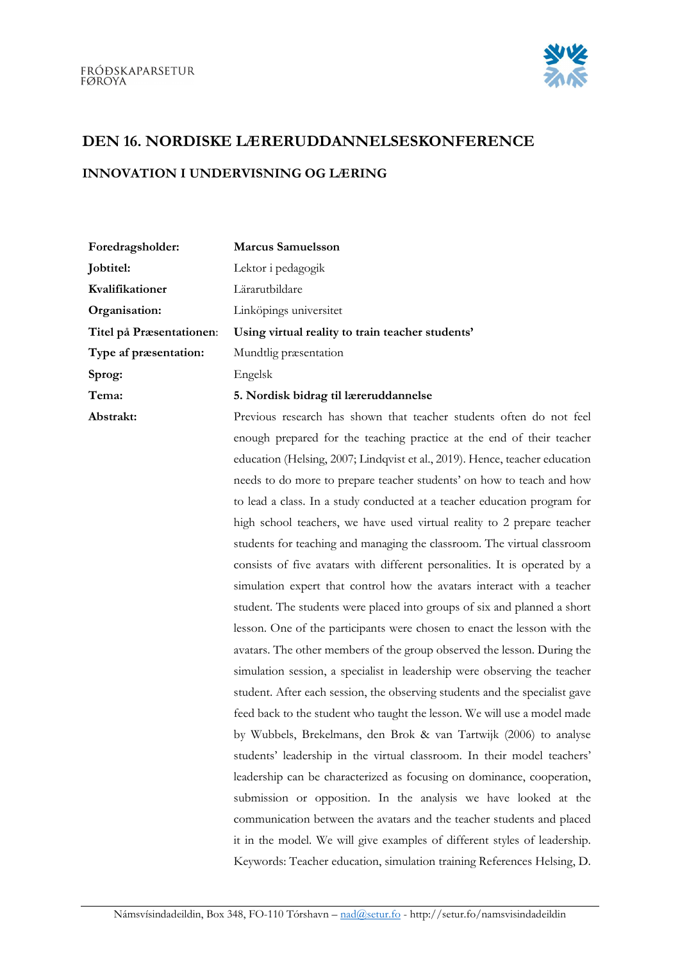

## DEN 16. NORDISKE LÆRERUDDANNELSESKONFERENCE

## INNOVATION I UNDERVISNING OG LÆRING

| Foredragsholder:         | <b>Marcus Samuelsson</b>                         |
|--------------------------|--------------------------------------------------|
| Jobtitel:                | Lektor i pedagogik                               |
| Kvalifikationer          | Lärarutbildare                                   |
| Organisation:            | Linköpings universitet                           |
| Titel på Præsentationen: | Using virtual reality to train teacher students' |
| Type af præsentation:    | Mundtlig præsentation                            |
| Sprog:                   | Engelsk                                          |
| Tema:                    | 5. Nordisk bidrag til læreruddannelse            |
| Abstrakt:                | Previous research has shown that teacher stude   |

nts often do not feel enough prepared for the teaching practice at the end of their teacher education (Helsing, 2007; Lindqvist et al., 2019). Hence, teacher education needs to do more to prepare teacher students' on how to teach and how to lead a class. In a study conducted at a teacher education program for high school teachers, we have used virtual reality to 2 prepare teacher students for teaching and managing the classroom. The virtual classroom consists of five avatars with different personalities. It is operated by a simulation expert that control how the avatars interact with a teacher student. The students were placed into groups of six and planned a short lesson. One of the participants were chosen to enact the lesson with the avatars. The other members of the group observed the lesson. During the simulation session, a specialist in leadership were observing the teacher student. After each session, the observing students and the specialist gave feed back to the student who taught the lesson. We will use a model made by Wubbels, Brekelmans, den Brok & van Tartwijk (2006) to analyse students' leadership in the virtual classroom. In their model teachers' leadership can be characterized as focusing on dominance, cooperation, submission or opposition. In the analysis we have looked at the communication between the avatars and the teacher students and placed it in the model. We will give examples of different styles of leadership. Keywords: Teacher education, simulation training References Helsing, D.